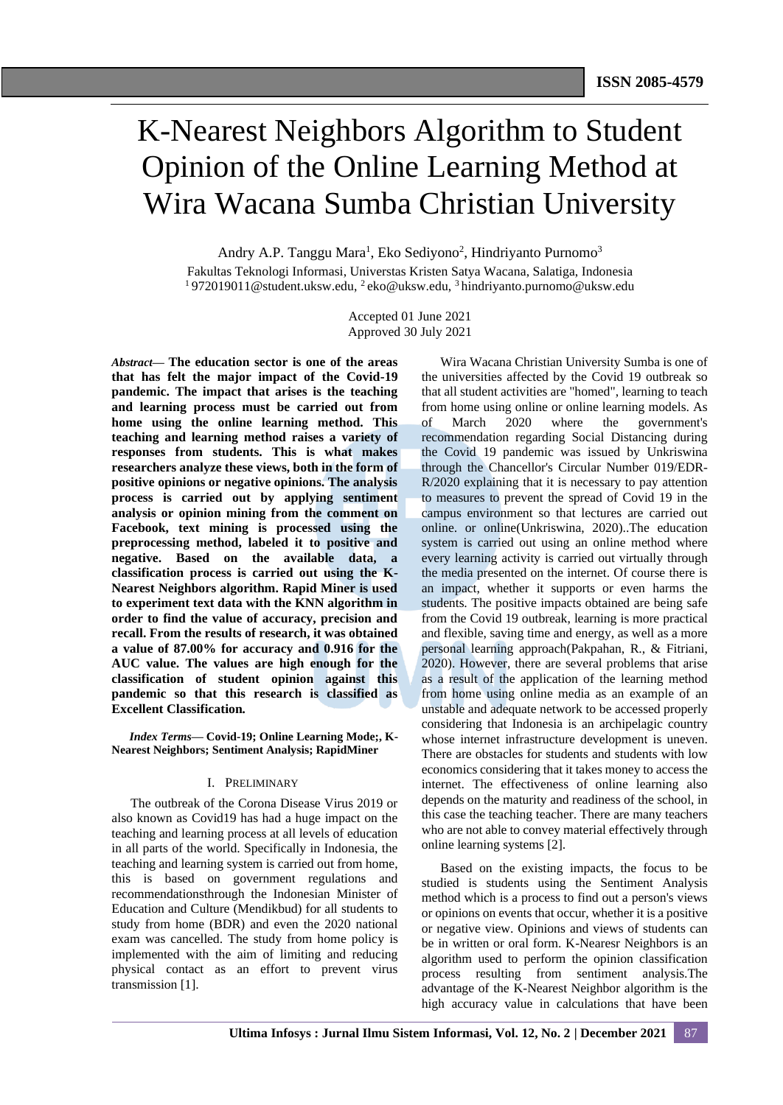# K-Nearest Neighbors Algorithm to Student Opinion of the Online Learning Method at Wira Wacana Sumba Christian University

Andry A.P. Tanggu Mara<sup>1</sup>, Eko Sediyono<sup>2</sup>, Hindriyanto Purnomo<sup>3</sup> Fakultas Teknologi Informasi, Universtas Kristen Satya Wacana, Salatiga, Indonesia <sup>1</sup>972019011@student.uksw.edu, <sup>2</sup>eko@uksw.edu, <sup>3</sup>hindriyanto.purnomo@uksw.edu

> Accepted 01 June 2021 Approved 30 July 2021

*Abstract***— The education sector is one of the areas that has felt the major impact of the Covid-19 pandemic. The impact that arises is the teaching and learning process must be carried out from home using the online learning method. This teaching and learning method raises a variety of responses from students. This is what makes researchers analyze these views, both in the form of positive opinions or negative opinions. The analysis process is carried out by applying sentiment analysis or opinion mining from the comment on Facebook, text mining is processed using the preprocessing method, labeled it to positive and negative. Based on the available data, a classification process is carried out using the K-Nearest Neighbors algorithm. Rapid Miner is used to experiment text data with the KNN algorithm in order to find the value of accuracy, precision and recall. From the results of research, it was obtained a value of 87.00% for accuracy and 0.916 for the AUC value. The values are high enough for the classification of student opinion against this pandemic so that this research is classified as Excellent Classification***.*

*Index Terms—* **Covid-19; Online Learning Mode;, K-Nearest Neighbors; Sentiment Analysis; RapidMiner**

## I. PRELIMINARY

The outbreak of the Corona Disease Virus 2019 or also known as Covid19 has had a huge impact on the teaching and learning process at all levels of education in all parts of the world. Specifically in Indonesia, the teaching and learning system is carried out from home, this is based on government regulations and recommendationsthrough the Indonesian Minister of Education and Culture (Mendikbud) for all students to study from home (BDR) and even the 2020 national exam was cancelled. The study from home policy is implemented with the aim of limiting and reducing physical contact as an effort to prevent virus transmission [1].

Wira Wacana Christian University Sumba is one of the universities affected by the Covid 19 outbreak so that all student activities are "homed", learning to teach from home using online or online learning models. As of March 2020 where the government's recommendation regarding Social Distancing during the Covid 19 pandemic was issued by Unkriswina through the Chancellor's Circular Number 019/EDR-R/2020 explaining that it is necessary to pay attention to measures to prevent the spread of Covid 19 in the campus environment so that lectures are carried out online. or online(Unkriswina, 2020)..The education system is carried out using an online method where every learning activity is carried out virtually through the media presented on the internet. Of course there is an impact, whether it supports or even harms the students. The positive impacts obtained are being safe from the Covid 19 outbreak, learning is more practical and flexible, saving time and energy, as well as a more personal learning approach(Pakpahan, R., & Fitriani, 2020). However, there are several problems that arise as a result of the application of the learning method from home using online media as an example of an unstable and adequate network to be accessed properly considering that Indonesia is an archipelagic country whose internet infrastructure development is uneven. There are obstacles for students and students with low economics considering that it takes money to access the internet. The effectiveness of online learning also depends on the maturity and readiness of the school, in this case the teaching teacher. There are many teachers who are not able to convey material effectively through online learning systems [2].

Based on the existing impacts, the focus to be studied is students using the Sentiment Analysis method which is a process to find out a person's views or opinions on events that occur, whether it is a positive or negative view. Opinions and views of students can be in written or oral form. K-Nearesr Neighbors is an algorithm used to perform the opinion classification process resulting from sentiment analysis.The advantage of the K-Nearest Neighbor algorithm is the high accuracy value in calculations that have been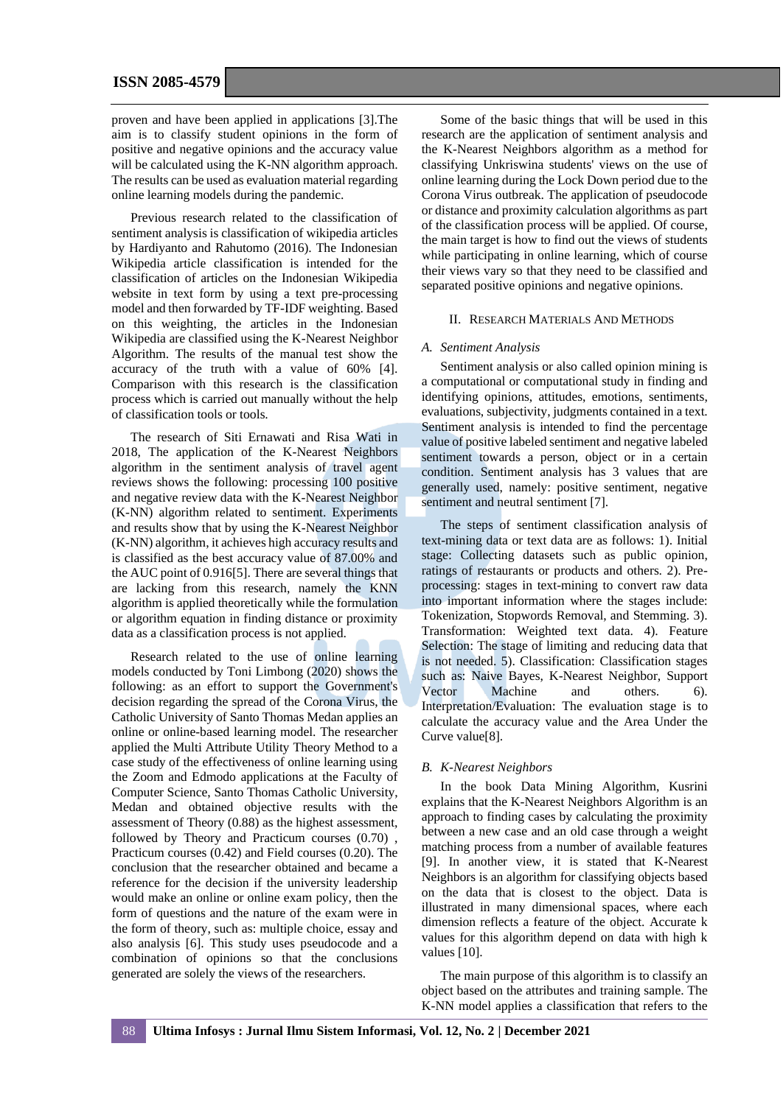proven and have been applied in applications [3].The aim is to classify student opinions in the form of positive and negative opinions and the accuracy value will be calculated using the K-NN algorithm approach. The results can be used as evaluation material regarding online learning models during the pandemic.

Previous research related to the classification of sentiment analysis is classification of wikipedia articles by Hardiyanto and Rahutomo (2016). The Indonesian Wikipedia article classification is intended for the classification of articles on the Indonesian Wikipedia website in text form by using a text pre-processing model and then forwarded by TF-IDF weighting. Based on this weighting, the articles in the Indonesian Wikipedia are classified using the K-Nearest Neighbor Algorithm. The results of the manual test show the accuracy of the truth with a value of 60% [4]. Comparison with this research is the classification process which is carried out manually without the help of classification tools or tools.

The research of Siti Ernawati and Risa Wati in 2018, The application of the K-Nearest Neighbors algorithm in the sentiment analysis of travel agent reviews shows the following: processing 100 positive and negative review data with the K-Nearest Neighbor (K-NN) algorithm related to sentiment. Experiments and results show that by using the K-Nearest Neighbor (K-NN) algorithm, it achieves high accuracy results and is classified as the best accuracy value of 87.00% and the AUC point of 0.916[5]. There are several things that are lacking from this research, namely the KNN algorithm is applied theoretically while the formulation or algorithm equation in finding distance or proximity data as a classification process is not applied.

Research related to the use of online learning models conducted by Toni Limbong (2020) shows the following: as an effort to support the Government's decision regarding the spread of the Corona Virus, the Catholic University of Santo Thomas Medan applies an online or online-based learning model. The researcher applied the Multi Attribute Utility Theory Method to a case study of the effectiveness of online learning using the Zoom and Edmodo applications at the Faculty of Computer Science, Santo Thomas Catholic University, Medan and obtained objective results with the assessment of Theory (0.88) as the highest assessment, followed by Theory and Practicum courses (0.70) , Practicum courses (0.42) and Field courses (0.20). The conclusion that the researcher obtained and became a reference for the decision if the university leadership would make an online or online exam policy, then the form of questions and the nature of the exam were in the form of theory, such as: multiple choice, essay and also analysis [6]. This study uses pseudocode and a combination of opinions so that the conclusions generated are solely the views of the researchers.

Some of the basic things that will be used in this research are the application of sentiment analysis and the K-Nearest Neighbors algorithm as a method for classifying Unkriswina students' views on the use of online learning during the Lock Down period due to the Corona Virus outbreak. The application of pseudocode or distance and proximity calculation algorithms as part of the classification process will be applied. Of course, the main target is how to find out the views of students while participating in online learning, which of course their views vary so that they need to be classified and separated positive opinions and negative opinions.

#### II. RESEARCH MATERIALS AND METHODS

#### *A. Sentiment Analysis*

Sentiment analysis or also called opinion mining is a computational or computational study in finding and identifying opinions, attitudes, emotions, sentiments, evaluations, subjectivity, judgments contained in a text. Sentiment analysis is intended to find the percentage value of positive labeled sentiment and negative labeled sentiment towards a person, object or in a certain condition. Sentiment analysis has 3 values that are generally used, namely: positive sentiment, negative sentiment and neutral sentiment [7].

The steps of sentiment classification analysis of text-mining data or text data are as follows: 1). Initial stage: Collecting datasets such as public opinion, ratings of restaurants or products and others. 2). Preprocessing: stages in text-mining to convert raw data into important information where the stages include: Tokenization, Stopwords Removal, and Stemming. 3). Transformation: Weighted text data. 4). Feature Selection: The stage of limiting and reducing data that is not needed. 5). Classification: Classification stages such as: Naive Bayes, K-Nearest Neighbor, Support Vector Machine and others. 6). Interpretation/Evaluation: The evaluation stage is to calculate the accuracy value and the Area Under the Curve value[8].

## *B. K-Nearest Neighbors*

In the book Data Mining Algorithm, Kusrini explains that the K-Nearest Neighbors Algorithm is an approach to finding cases by calculating the proximity between a new case and an old case through a weight matching process from a number of available features [9]. In another view, it is stated that K-Nearest Neighbors is an algorithm for classifying objects based on the data that is closest to the object. Data is illustrated in many dimensional spaces, where each dimension reflects a feature of the object. Accurate k values for this algorithm depend on data with high k values [10].

The main purpose of this algorithm is to classify an object based on the attributes and training sample. The K-NN model applies a classification that refers to the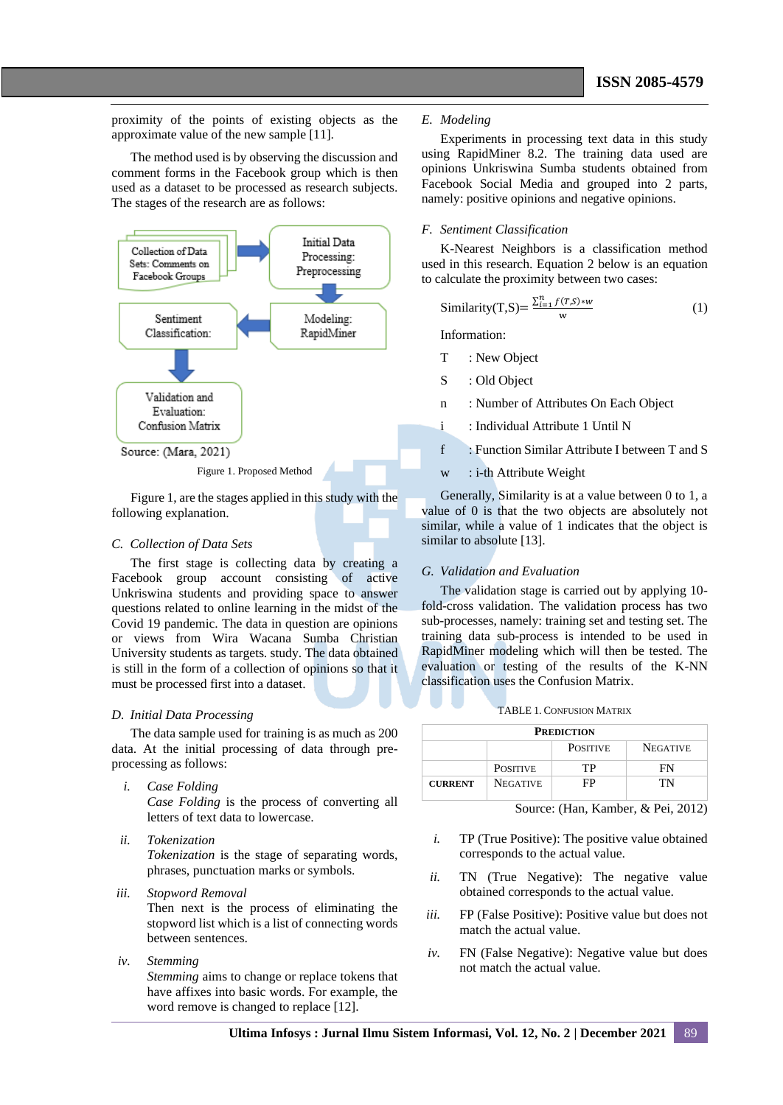proximity of the points of existing objects as the approximate value of the new sample [11].

The method used is by observing the discussion and comment forms in the Facebook group which is then used as a dataset to be processed as research subjects. The stages of the research are as follows:



Figure 1, are the stages applied in this study with the following explanation.

#### *C. Collection of Data Sets*

The first stage is collecting data by creating a Facebook group account consisting of active Unkriswina students and providing space to answer questions related to online learning in the midst of the Covid 19 pandemic. The data in question are opinions or views from Wira Wacana Sumba Christian University students as targets. study. The data obtained is still in the form of a collection of opinions so that it must be processed first into a dataset.

## *D. Initial Data Processing*

The data sample used for training is as much as 200 data. At the initial processing of data through preprocessing as follows:

*i. Case Folding*

*Case Folding* is the process of converting all letters of text data to lowercase.

*ii. Tokenization*

*Tokenization* is the stage of separating words, phrases, punctuation marks or symbols.

*iii. Stopword Removal*

Then next is the process of eliminating the stopword list which is a list of connecting words between sentences.

*iv. Stemming*

*Stemming* aims to change or replace tokens that have affixes into basic words. For example, the word remove is changed to replace [12].

## *E. Modeling*

Experiments in processing text data in this study using RapidMiner 8.2. The training data used are opinions Unkriswina Sumba students obtained from Facebook Social Media and grouped into 2 parts, namely: positive opinions and negative opinions.

## *F. Sentiment Classification*

K-Nearest Neighbors is a classification method used in this research. Equation 2 below is an equation to calculate the proximity between two cases:

$$
\text{Similarity}(T, S) = \frac{\sum_{i=1}^{n} f(T, S) * w}{w} \tag{1}
$$

Information:

- T : New Object
- S : Old Object
- n : Number of Attributes On Each Object
- i : Individual Attribute 1 Until N
- f : Function Similar Attribute I between T and S
- w : i-th Attribute Weight

Generally, Similarity is at a value between 0 to 1, a value of 0 is that the two objects are absolutely not similar, while a value of 1 indicates that the object is similar to absolute [13].

## *G. Validation and Evaluation*

The validation stage is carried out by applying 10 fold-cross validation. The validation process has two sub-processes, namely: training set and testing set. The training data sub-process is intended to be used in RapidMiner modeling which will then be tested. The evaluation or testing of the results of the K-NN classification uses the Confusion Matrix.

TABLE 1. CONFUSION MATRIX

| <b>PREDICTION</b> |                 |                 |                 |
|-------------------|-----------------|-----------------|-----------------|
|                   |                 | <b>POSITIVE</b> | <b>NEGATIVE</b> |
|                   | <b>POSITIVE</b> | TP              | FN              |
| <b>CURRENT</b>    | <b>NEGATIVE</b> | FP              | TN              |

Source: (Han, Kamber, & Pei, 2012)

- *i.* TP (True Positive): The positive value obtained corresponds to the actual value.
- *ii.* TN (True Negative): The negative value obtained corresponds to the actual value.
- *iii.* FP (False Positive): Positive value but does not match the actual value.
- *iv.* FN (False Negative): Negative value but does not match the actual value.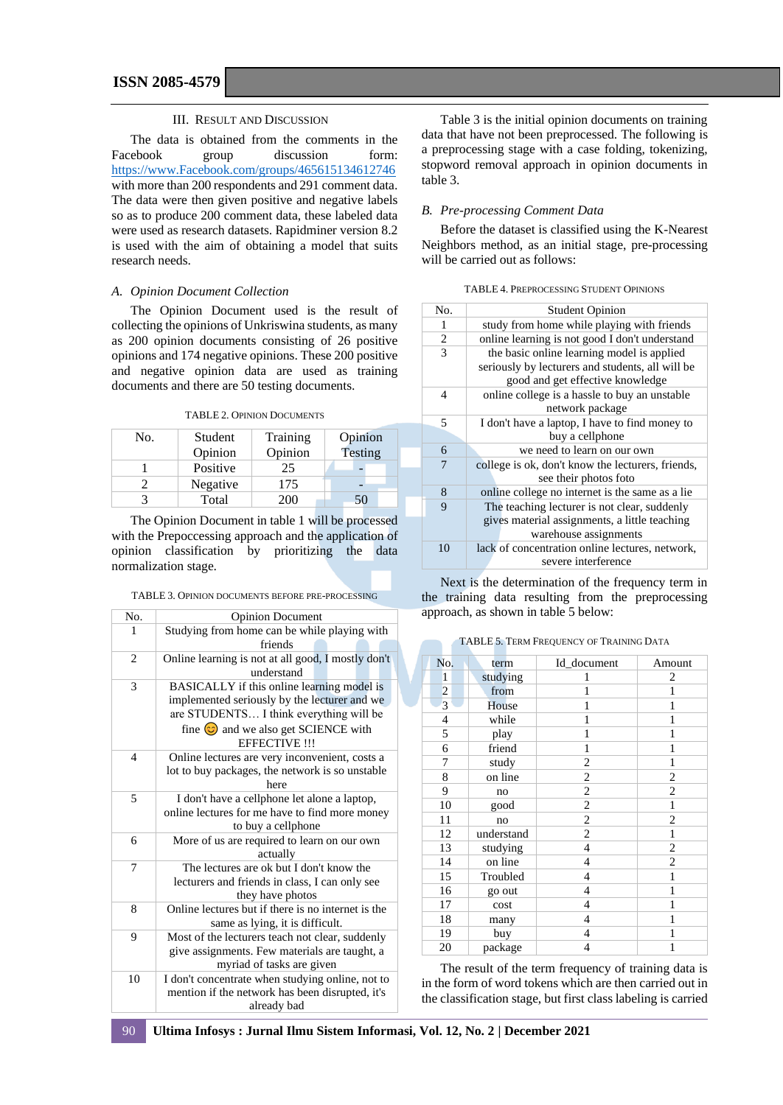#### III. RESULT AND DISCUSSION

The data is obtained from the comments in the Facebook group discussion form: [https://www.Facebook.com/groups/465615134612746](https://www.facebook.com/groups/465615134612746) with more than 200 respondents and 291 comment data. The data were then given positive and negative labels so as to produce 200 comment data, these labeled data were used as research datasets. Rapidminer version 8.2 is used with the aim of obtaining a model that suits research needs.

### *A. Opinion Document Collection*

The Opinion Document used is the result of collecting the opinions of Unkriswina students, as many as 200 opinion documents consisting of 26 positive opinions and 174 negative opinions. These 200 positive and negative opinion data are used as training documents and there are 50 testing documents.

TABLE 2. OPINION DOCUMENTS

| No. | Student  | Training | Opinion |
|-----|----------|----------|---------|
|     | Opinion  | Opinion  | Testing |
|     | Positive | 25       |         |
|     | Negative | 175      |         |
|     | Total    | 200      | 50      |

The Opinion Document in table 1 will be processed with the Prepoccessing approach and the application of opinion classification by prioritizing the data normalization stage.

|  |  | TABLE 3. OPINION DOCUMENTS BEFORE PRE-PROCESSING |  |  |  |
|--|--|--------------------------------------------------|--|--|--|
|--|--|--------------------------------------------------|--|--|--|

| No.            | <b>Opinion Document</b>                                                                                                                                                                                           |
|----------------|-------------------------------------------------------------------------------------------------------------------------------------------------------------------------------------------------------------------|
| 1              | Studying from home can be while playing with<br>friends                                                                                                                                                           |
| $\overline{c}$ | Online learning is not at all good, I mostly don't<br>understand                                                                                                                                                  |
| 3              | BASICALLY if this online learning model is<br>implemented seriously by the lecturer and we<br>are STUDENTS I think everything will be<br>fine $\circledcirc$ and we also get SCIENCE with<br><b>EFFECTIVE !!!</b> |
| $\overline{4}$ | Online lectures are very inconvenient, costs a<br>lot to buy packages, the network is so unstable<br>here                                                                                                         |
| 5              | I don't have a cellphone let alone a laptop,<br>online lectures for me have to find more money<br>to buy a cellphone                                                                                              |
| 6              | More of us are required to learn on our own<br>actually                                                                                                                                                           |
| 7              | The lectures are ok but I don't know the<br>lecturers and friends in class, I can only see<br>they have photos                                                                                                    |
| 8              | Online lectures but if there is no internet is the<br>same as lying, it is difficult.                                                                                                                             |
| 9              | Most of the lecturers teach not clear, suddenly<br>give assignments. Few materials are taught, a<br>myriad of tasks are given                                                                                     |
| 10             | I don't concentrate when studying online, not to<br>mention if the network has been disrupted, it's<br>already bad                                                                                                |

Table 3 is the initial opinion documents on training data that have not been preprocessed. The following is a preprocessing stage with a case folding, tokenizing, stopword removal approach in opinion documents in table 3.

## *B. Pre-processing Comment Data*

Before the dataset is classified using the K-Nearest Neighbors method, as an initial stage, pre-processing will be carried out as follows:

| <b>TABLE 4. PREPROCESSING STUDENT OPINIONS</b> |  |
|------------------------------------------------|--|
|------------------------------------------------|--|

| No. | <b>Student Opinion</b>                            |
|-----|---------------------------------------------------|
| 1   | study from home while playing with friends        |
| 2   | online learning is not good I don't understand    |
| 3   | the basic online learning model is applied        |
|     | seriously by lecturers and students, all will be  |
|     | good and get effective knowledge                  |
| 4   | online college is a hassle to buy an unstable     |
|     | network package                                   |
| 5   | I don't have a laptop, I have to find money to    |
|     | buy a cellphone                                   |
| 6   | we need to learn on our own                       |
| 7   | college is ok, don't know the lecturers, friends, |
|     | see their photos foto                             |
| 8   | online college no internet is the same as a lie   |
| 9   | The teaching lecturer is not clear, suddenly      |
|     | gives material assignments, a little teaching     |
|     | warehouse assignments                             |
| 10  | lack of concentration online lectures, network,   |
|     | severe interference                               |

Next is the determination of the frequency term in the training data resulting from the preprocessing approach, as shown in table 5 below:

|  |  |  | <b>TABLE 5. TERM FREQUENCY OF TRAINING DATA</b> |  |  |  |
|--|--|--|-------------------------------------------------|--|--|--|
|--|--|--|-------------------------------------------------|--|--|--|

| No.            | term       | Id_document    | Amount         |
|----------------|------------|----------------|----------------|
| 1              | studying   | 1              | 2              |
|                | from       | 1              | 1              |
| $\frac{2}{3}$  | House      | 1              | 1              |
| $\overline{4}$ | while      | 1              | 1              |
| 5              | play       | 1              | 1              |
| 6              | friend     | 1              | 1              |
| 7              | study      | 2              | 1              |
| 8              | on line    | $\overline{c}$ | $\overline{c}$ |
| 9              | no         | 2              | 2              |
| 10             | good       | $\overline{c}$ | 1              |
| 11             | no         | $\overline{c}$ | $\overline{c}$ |
| 12             | understand | $\mathfrak{2}$ | 1              |
| 13             | studying   | $\overline{4}$ | $\overline{c}$ |
| 14             | on line    | $\overline{4}$ | $\overline{c}$ |
| 15             | Troubled   | 4              | 1              |
| 16             | go out     | 4              | 1              |
| 17             | cost       | 4              | 1              |
| 18             | many       | 4              | 1              |
| 19             | buy        | 4              | 1              |
| 20             | package    | $\overline{4}$ | 1              |

The result of the term frequency of training data is in the form of word tokens which are then carried out in the classification stage, but first class labeling is carried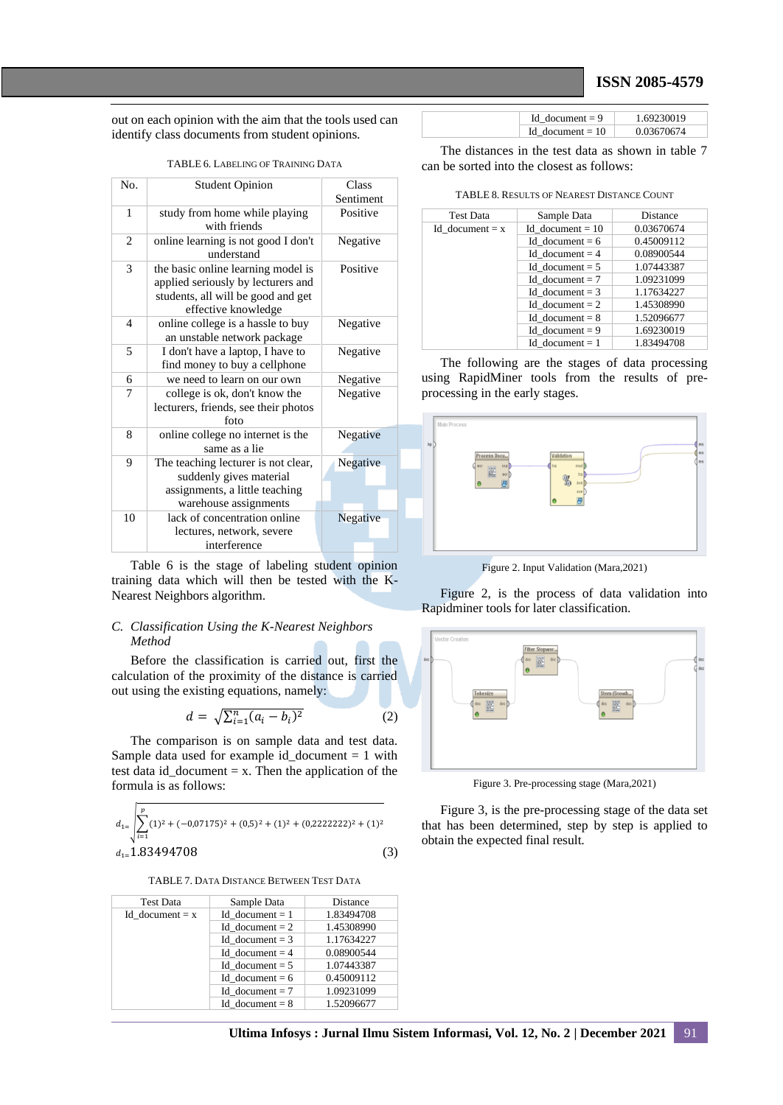## **ISSN 2085-4579**

out on each opinion with the aim that the tools used can identify class documents from student opinions.

| N <sub>0</sub>           | <b>Student Opinion</b>                                                                                                                | Class<br>Sentiment |
|--------------------------|---------------------------------------------------------------------------------------------------------------------------------------|--------------------|
| 1                        | study from home while playing<br>with friends                                                                                         | Positive           |
| 2                        | online learning is not good I don't<br>understand                                                                                     | Negative           |
| 3                        | the basic online learning model is<br>applied seriously by lecturers and<br>students, all will be good and get<br>effective knowledge | Positive           |
| $\overline{\mathcal{A}}$ | online college is a hassle to buy<br>an unstable network package                                                                      | Negative           |
| 5                        | I don't have a laptop, I have to<br>find money to buy a cellphone                                                                     | Negative           |
| 6                        | we need to learn on our own                                                                                                           | Negative           |
| 7                        | college is ok, don't know the<br>lecturers, friends, see their photos<br>foto                                                         | Negative           |
| 8                        | online college no internet is the<br>same as a lie                                                                                    | Negative           |
| 9                        | The teaching lecturer is not clear,<br>suddenly gives material<br>assignments, a little teaching<br>warehouse assignments             | Negative           |
| 10                       | lack of concentration online<br>lectures, network, severe<br>interference                                                             | Negative           |

training data which will then be tested with the K-Nearest Neighbors algorithm.

## *C. Classification Using the K-Nearest Neighbors Method*

Before the classification is carried out, first the calculation of the proximity of the distance is carried out using the existing equations, namely:

$$
d = \sqrt{\sum_{i=1}^{n} (a_i - b_i)^2}
$$
 (2)

The comparison is on sample data and test data. Sample data used for example id document  $= 1$  with test data id\_document  $= x$ . Then the application of the formula is as follows:

$$
d_{1=}\n\left|\sum_{i=1}^{p} (1)^2 + (-0.07175)^2 + (0.5)^2 + (1)^2 + (0.222222)^2 + (1)^2 + (0.222222)^2 + (1)^2 + (0.222222)^2 + (1)^2 + (0.222222)^2 + (1)^2 + (0.2222222)^2 + (1)^2 + (0.2222222)^2 + (1)^2 + (0.2222222)^2 + (1)^2 + (0.2222222)^2 + (1)^2 + (0.2222222)^2 + (1)^2 + (0.22222222)^2 + (1)^2 + (0.22222222)^2 + (1)^2 + (0.22222222)^2 + (1)^2 + (0.222222222)^2 + (1)^2 + (0.2222222222)^2 + (1)^2 + (0.22222222222) + (1)^2 + (0.22222222222) + (1)^2 + (0.22222222222) + (1)^2 + (0.22222222222) + (1)^2 + (0.22222222222) + (1)^2 + (0.222222222222) + (1)^2 + (0.222222222222) + (1)^2 + (0.22222222222) + (1)^2 + (0.22222222222) + (1)^2 + (0.22222222222) + (1)^2 + (0.22222222222) + (1)^2 + (0.222222222222) + (1)^2 + (0.22222222222) + (1)^2 + (0.222222222222) + (1)^2 + (0.222222222222) + (1)^2 + (0.222222222222) + (1)^2 + (0.222222222222) + (1)^2 + (0.22222222222) + (2)^2 + (0.222222222222) + (2)^2 + (0.2222222222222) + (2)^2 + (0.2222222222222) + (2)^2 + (0.2
$$

TABLE 7. DATA DISTANCE BETWEEN TEST DATA

| <b>Test Data</b>  | Sample Data       | <b>Distance</b> |
|-------------------|-------------------|-----------------|
| Id document = $x$ | Id document $= 1$ | 1.83494708      |
|                   | Id document $= 2$ | 1.45308990      |
|                   | Id document = $3$ | 1.17634227      |
|                   | Id document $= 4$ | 0.08900544      |
|                   | Id document $= 5$ | 1.07443387      |
|                   | Id document = $6$ | 0.45009112      |
|                   | Id document = $7$ | 1.09231099      |
|                   | Id document = $8$ | 1.52096677      |

| Id document $= 9$  | 1.69230019 |
|--------------------|------------|
| Id document $= 10$ | 0.03670674 |

The distances in the test data as shown in table 7 can be sorted into the closest as follows:

TABLE 8. RESULTS OF NEAREST DISTANCE COUNT

| Test Data         | Sample Data        | Distance   |
|-------------------|--------------------|------------|
| Id document = $x$ | Id document $= 10$ | 0.03670674 |
|                   | Id document $= 6$  | 0.45009112 |
|                   | Id document $= 4$  | 0.08900544 |
|                   | Id document $= 5$  | 1.07443387 |
|                   | Id document $= 7$  | 1.09231099 |
|                   | Id document = $3$  | 1.17634227 |
|                   | Id document $= 2$  | 1.45308990 |
|                   | Id document $= 8$  | 1.52096677 |
|                   | Id document $= 9$  | 1.69230019 |
|                   | Id document $= 1$  | 1.83494708 |

The following are the stages of data processing using RapidMiner tools from the results of preprocessing in the early stages.



Figure 2. Input Validation (Mara,2021)

Figure 2, is the process of data validation into Rapidminer tools for later classification.



Figure 3. Pre-processing stage (Mara,2021)

Figure 3, is the pre-processing stage of the data set that has been determined, step by step is applied to obtain the expected final result.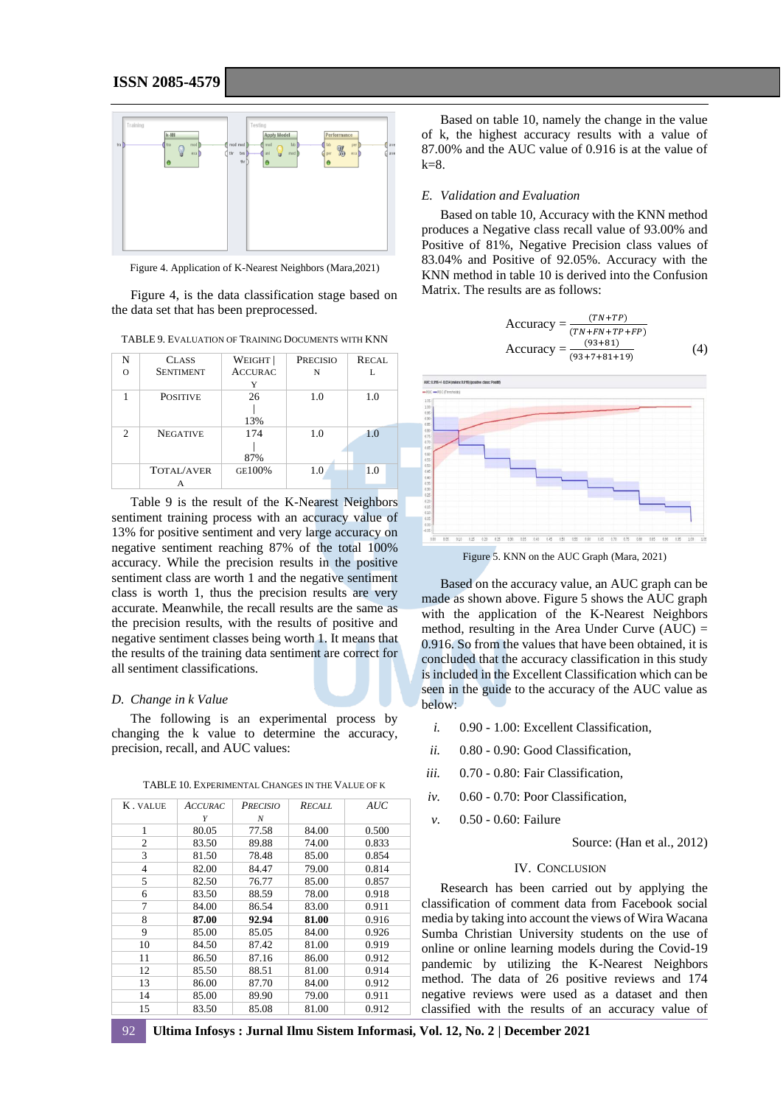

Figure 4. Application of K-Nearest Neighbors (Mara,2021)

Figure 4, is the data classification stage based on the data set that has been preprocessed.

TABLE 9. EVALUATION OF TRAINING DOCUMENTS WITH KNN

| N              | <b>CLASS</b>      | WEIGHT         | <b>PRECISIO</b> | <b>RECAL</b> |
|----------------|-------------------|----------------|-----------------|--------------|
| $\Omega$       | <b>SENTIMENT</b>  | <b>ACCURAC</b> | N               |              |
|                |                   |                |                 |              |
|                | <b>POSITIVE</b>   | 26             | 1.0             | 1.0          |
|                |                   | 13%            |                 |              |
| $\mathfrak{D}$ | <b>NEGATIVE</b>   | 174            | 1.0             | 1.0          |
|                |                   | 87%            |                 |              |
|                | <b>TOTAL/AVER</b> | GE100%         | 1.0             | 1.0          |
|                | А                 |                |                 |              |

Table 9 is the result of the K-Nearest Neighbors sentiment training process with an accuracy value of 13% for positive sentiment and very large accuracy on negative sentiment reaching 87% of the total 100% accuracy. While the precision results in the positive sentiment class are worth 1 and the negative sentiment class is worth 1, thus the precision results are very accurate. Meanwhile, the recall results are the same as the precision results, with the results of positive and negative sentiment classes being worth 1. It means that the results of the training data sentiment are correct for all sentiment classifications.

#### *D. Change in k Value*

The following is an experimental process by changing the k value to determine the accuracy, precision, recall, and AUC values:

| K. VALUE       | <b>ACCURAC</b> | <b>PRECISIO</b> | <b>RECALL</b> | AUC   |
|----------------|----------------|-----------------|---------------|-------|
|                | Υ              | N               |               |       |
| 1              | 80.05          | 77.58           | 84.00         | 0.500 |
| 2              | 83.50          | 89.88           | 74.00         | 0.833 |
| 3              | 81.50          | 78.48           | 85.00         | 0.854 |
| $\overline{4}$ | 82.00          | 84.47           | 79.00         | 0.814 |
| 5              | 82.50          | 76.77           | 85.00         | 0.857 |
| 6              | 83.50          | 88.59           | 78.00         | 0.918 |
| 7              | 84.00          | 86.54           | 83.00         | 0.911 |
| 8              | 87.00          | 92.94           | 81.00         | 0.916 |
| 9              | 85.00          | 85.05           | 84.00         | 0.926 |
| 10             | 84.50          | 87.42           | 81.00         | 0.919 |
| 11             | 86.50          | 87.16           | 86.00         | 0.912 |
| 12             | 85.50          | 88.51           | 81.00         | 0.914 |
| 13             | 86.00          | 87.70           | 84.00         | 0.912 |
| 14             | 85.00          | 89.90           | 79.00         | 0.911 |
| 15             | 83.50          | 85.08           | 81.00         | 0.912 |

TABLE 10. EXPERIMENTAL CHANGES IN THE VALUE OF K

Based on table 10, namely the change in the value of k, the highest accuracy results with a value of 87.00% and the AUC value of 0.916 is at the value of  $k=8$ .

## *E. Validation and Evaluation*

Based on table 10, Accuracy with the KNN method produces a Negative class recall value of 93.00% and Positive of 81%, Negative Precision class values of 83.04% and Positive of 92.05%. Accuracy with the KNN method in table 10 is derived into the Confusion Matrix. The results are as follows:

Accuracy = 
$$
\frac{(TN+FP)}{(TN+FN+TP+FP)}
$$
  
Accuracy = 
$$
\frac{(93+81)}{(93+7+81+19)}
$$
 (4)



Figure 5. KNN on the AUC Graph (Mara, 2021)

Based on the accuracy value, an AUC graph can be made as shown above. Figure 5 shows the AUC graph with the application of the K-Nearest Neighbors method, resulting in the Area Under Curve  $(AUC)$  = 0.916. So from the values that have been obtained, it is concluded that the accuracy classification in this study is included in the Excellent Classification which can be seen in the guide to the accuracy of the AUC value as below:

- *i.* 0.90 1.00: Excellent Classification,
- *ii.* 0.80 0.90: Good Classification,
- *iii.* 0.70 0.80: Fair Classification,
- *iv.* 0.60 0.70: Poor Classification,
- *v.* 0.50 0.60: Failure

Source: (Han et al., 2012)

## IV. CONCLUSION

Research has been carried out by applying the classification of comment data from Facebook social media by taking into account the views of Wira Wacana Sumba Christian University students on the use of online or online learning models during the Covid-19 pandemic by utilizing the K-Nearest Neighbors method. The data of 26 positive reviews and 174 negative reviews were used as a dataset and then classified with the results of an accuracy value of